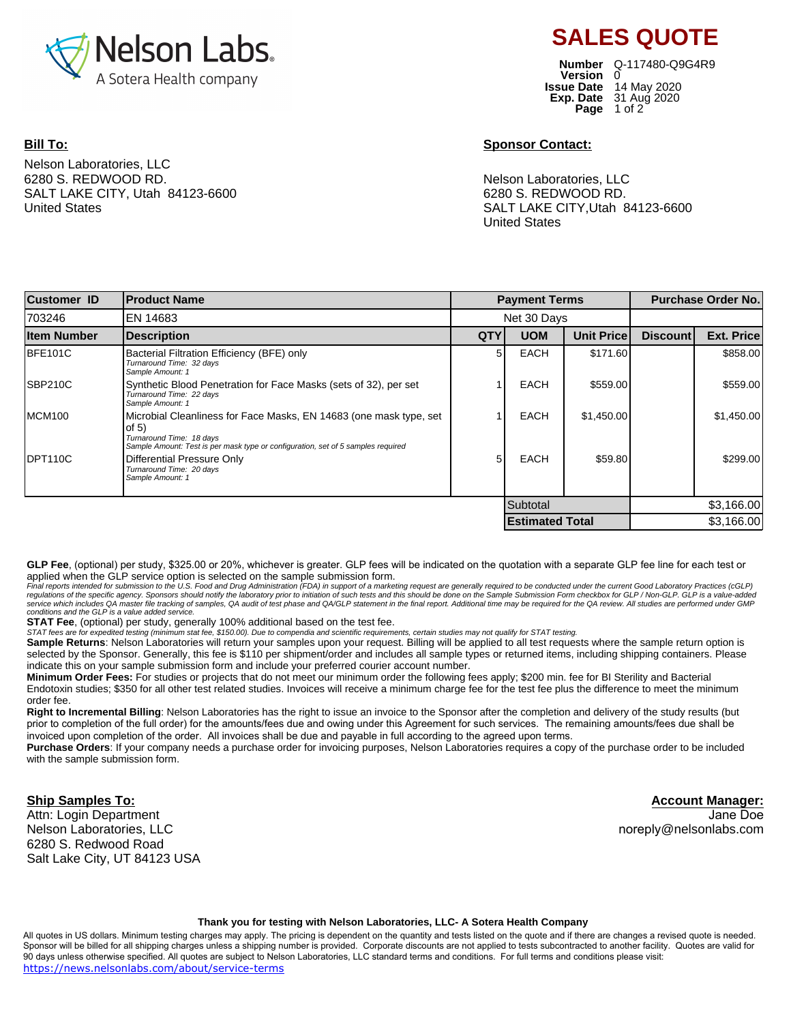

## **Bill To:**

Nelson Laboratories, LLC 6280 S. REDWOOD RD. SALT LAKE CITY, Utah 84123-6600 United States

**Number** Q-117480-Q9G4R9**Version Issue Date Page** 1 of 2 **Exp. Date** 31 Aug 2020 14 May 2020 0

**SALES QUOTE**

## **Sponsor Contact:**

Nelson Laboratories, LLC 6280 S. REDWOOD RD. SALT LAKE CITY,Utah 84123-6600 United States

| <b>Customer ID</b> | <b>Product Name</b>                                                                                                                                                                           |                        | <b>Payment Terms</b> |                   |                 | <b>Purchase Order No.</b> |  |
|--------------------|-----------------------------------------------------------------------------------------------------------------------------------------------------------------------------------------------|------------------------|----------------------|-------------------|-----------------|---------------------------|--|
| 703246             | <b>EN 14683</b>                                                                                                                                                                               | Net 30 Days            |                      |                   |                 |                           |  |
| <b>Item Number</b> | <b>Description</b>                                                                                                                                                                            | <b>QTY</b>             | <b>UOM</b>           | <b>Unit Price</b> | <b>Discount</b> | Ext. Price                |  |
| BFE101C            | Bacterial Filtration Efficiency (BFE) only<br>Turnaround Time: 32 days<br>Sample Amount: 1                                                                                                    | 5                      | <b>EACH</b>          | \$171.60          |                 | \$858.00                  |  |
| <b>SBP210C</b>     | Synthetic Blood Penetration for Face Masks (sets of 32), per set<br>Turnaround Time: 22 days<br>Sample Amount: 1                                                                              |                        | <b>EACH</b>          | \$559.00          |                 | \$559.00                  |  |
| MCM <sub>100</sub> | Microbial Cleanliness for Face Masks, EN 14683 (one mask type, set<br>of $5)$<br>Turnaround Time: 18 days<br>Sample Amount: Test is per mask type or configuration, set of 5 samples required |                        | <b>EACH</b>          | \$1,450.00        |                 | \$1,450.00                |  |
| DPT110C            | Differential Pressure Only<br>Turnaround Time: 20 days<br>Sample Amount: 1                                                                                                                    | 5                      | <b>EACH</b>          | \$59.80           |                 | \$299.00                  |  |
|                    |                                                                                                                                                                                               | Subtotal               |                      |                   | \$3,166.00      |                           |  |
|                    |                                                                                                                                                                                               | <b>Estimated Total</b> |                      |                   | \$3.166.00      |                           |  |

**GLP Fee**, (optional) per study, \$325.00 or 20%, whichever is greater. GLP fees will be indicated on the quotation with a separate GLP fee line for each test or applied when the GLP service option is selected on the sample submission form.

Final reports intended for submission to the U.S. Food and Drug Administration (FDA) in support of a marketing request are generally required to be conducted under the current Good Laboratory Practices (cGLP) regulations of the specific agency. Sponsors should notify the laboratory prior to initiation of such tests and this should be done on the Sample Submission Form checkbox for GLP / Non-GLP. GLP is a value-added<br>service whi conditions and the GLP is a value added service.

**STAT Fee**, (optional) per study, generally 100% additional based on the test fee.

STAT fees are for expedited testing (minimum stat fee, \$150.00). Due to compendia and scientific requirements, certain studies may not qualify for STAT testing.

Sample Returns: Nelson Laboratories will return your samples upon your request. Billing will be applied to all test requests where the sample return option is selected by the Sponsor. Generally, this fee is \$110 per shipment/order and includes all sample types or returned items, including shipping containers. Please indicate this on your sample submission form and include your preferred courier account number.

**Minimum Order Fees:** For studies or projects that do not meet our minimum order the following fees apply; \$200 min. fee for BI Sterility and Bacterial Endotoxin studies; \$350 for all other test related studies. Invoices will receive a minimum charge fee for the test fee plus the difference to meet the minimum order fee.

**Right to Incremental Billing**: Nelson Laboratories has the right to issue an invoice to the Sponsor after the completion and delivery of the study results (but prior to completion of the full order) for the amounts/fees due and owing under this Agreement for such services. The remaining amounts/fees due shall be invoiced upon completion of the order. All invoices shall be due and payable in full according to the agreed upon terms.

**Purchase Orders**: If your company needs a purchase order for invoicing purposes, Nelson Laboratories requires a copy of the purchase order to be included with the sample submission form.

**Ship Samples To:** Attn: Login Department Nelson Laboratories, LLC 6280 S. Redwood Road Salt Lake City, UT 84123 USA

**Account Manager:** Jane Doe noreply@nelsonlabs.com

## **Thank you for testing with Nelson Laboratories, LLC- A Sotera Health Company**

All quotes in US dollars. Minimum testing charges may apply. The pricing is dependent on the quantity and tests listed on the quote and if there are changes a revised quote is needed. Sponsor will be billed for all shipping charges unless a shipping number is provided. Corporate discounts are not applied to tests subcontracted to another facility. Quotes are valid for 90 days unless otherwise specified. All quotes are subject to Nelson Laboratories, LLC standard terms and conditions. For full terms and conditions please visit: https://news.nelsonlabs.com/about/service-terms